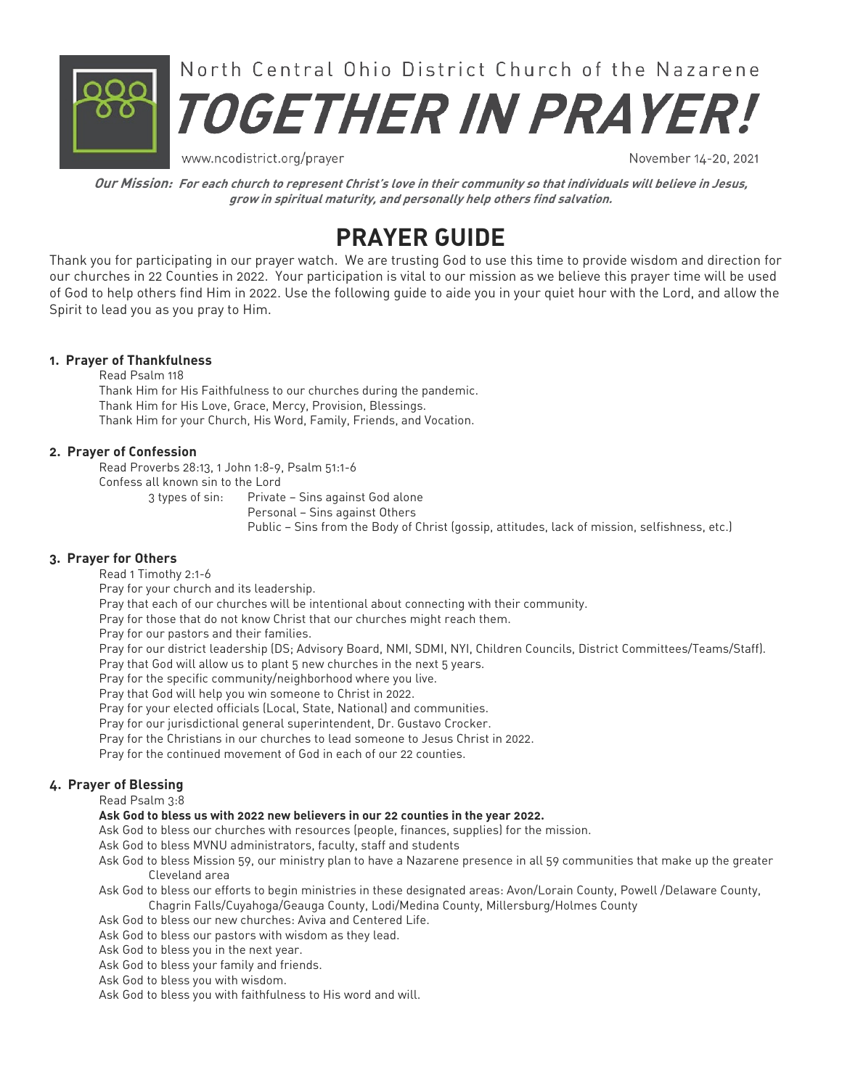

www.ncodistrict.org/prayer

November 14-20, 2021

**Our Mission: For each church to represent Christ's love in their community so that individuals will believe in Jesus, grow in spiritual maturity, and personally help others find salvation.** 

# **PRAYER GUIDE**

Thank you for participating in our prayer watch. We are trusting God to use this time to provide wisdom and direction for our churches in 22 Counties in 2022. Your participation is vital to our mission as we believe this prayer time will be used of God to help others find Him in 2022. Use the following quide to aide you in your quiet hour with the Lord, and allow the Spirit to lead you as you pray to Him.

#### **1. Prayer of Thankfulness**

Read Psalm 118 Thank Him for His Faithfulness to our churches during the pandemic. Thank Him for His Love, Grace, Mercy, Provision, Blessings. Thank Him for your Church, His Word, Family, Friends, and Vocation.

#### **2. Prayer of Confession**

*Qd'cOqnudqar17902+0Ingm097,8+Or'kl4090,5*

Confess all known sin to the Lord

3 types of sin: Private - Sins against God alone

Personal - Sins against Others

Public - Sins from the Body of Christ (gossip, attitudes, lack of mission, selfishness, etc.)

#### **3. Prayer for Others**

Read 1 Timothy 2:1-6

Pray for your church and its leadership.

Pray that each of our churches will be intentional about connecting with their community.

Pray for those that do not know Christ that our churches might reach them.

*Pray for our pastors and their families.* 

Pray for our district leadership (DS; Advisory Board, NMI, SDMI, NYI, Children Councils, District Committees/Teams/Staff).

*Pray that God will allow us to plant 5 new churches in the next 5 years.* 

Pray for the specific community/neighborhood where you live.

Pray that God will help you win someone to Christ in 2022.

Pray for your elected officials (Local, State, National) and communities.

Pray for our jurisdictional general superintendent, Dr. Gustavo Crocker.

Pray for the Christians in our churches to lead someone to Jesus Christ in 2022.

Pray for the continued movement of God in each of our 22 counties.

### **4. Prayer of Blessing**

Read Psalm 3:8

#### **Ask God to bless us with 2022 new believers in our 22 counties in the year 2022.**

- Ask God to bless our churches with resources (people, finances, supplies) for the mission.
- Ask God to bless MVNU administrators, faculty, staff and students
- Ask God to bless Mission 59, our ministry plan to have a Nazarene presence in all 59 communities that make up the greater *Bkdudk'mc'qd'*
- Ask God to bless our efforts to begin ministries in these designated areas: Avon/Lorain County, Powell /Delaware County, Chagrin Falls/Cuyahoga/Geauga County, Lodi/Medina County, Millersburg/Holmes County
- Ask God to bless our new churches: Aviva and Centered Life.
- Ask God to bless our pastors with wisdom as they lead.
- Ask God to bless you in the next year.
- Ask God to bless your family and friends.
- Ask God to bless you with wisdom.
- Ask God to bless you with faithfulness to His word and will.